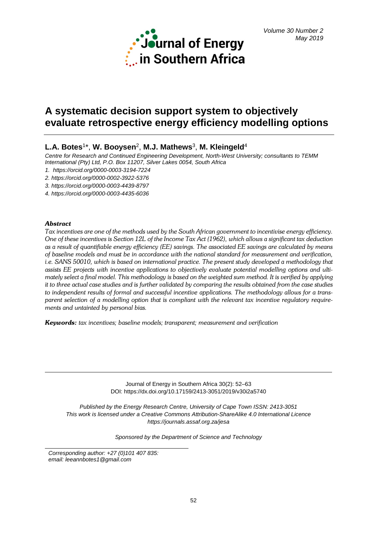

# **A systematic decision support system to objectively evaluate retrospective energy efficiency modelling options**

# **L.A. Botes**1\*, **W. Booysen**2, **M.J. Mathews**3, **M. Kleingeld**<sup>4</sup>

*Centre for Research and Continued Engineering Development, North-West University; consultants to TEMM International (Pty) Ltd, P.O. Box 11207, Silver Lakes 0054, South Africa*

*1. <https://orcid.org/0000-0003-3194-7224>*

*2. <https://orcid.org/0000-0002-3922-5376>*

*3. <https://orcid.org/0000-0003-4439-8797>*

*4. <https://orcid.org/0000-0003-4435-6036>*

# *Abstract*

*Tax incentives are one of the methods used by the South African government to incentivise energy efficiency. One of these incentives is Section 12L of the Income Tax Act (1962), which allows a significant tax deduction as a result of quantifiable energy efficiency (EE) savings. The associated EE savings are calculated by means of baseline models and must be in accordance with the national standard for measurement and verification, i.e. SANS 50010, which is based on international practice. The present study developed a methodology that assists EE projects with incentive applications to objectively evaluate potential modelling options and ultimately select a final model. This methodology is based on the weighted sum method. It is verified by applying it to three actual case studies and is further validated by comparing the results obtained from the case studies to independent results of formal and successful incentive applications. The methodology allows for a transparent selection of a modelling option that is compliant with the relevant tax incentive regulatory requirements and untainted by personal bias.*

*Keywords: tax incentives; baseline models; transparent; measurement and verification*

Journal of Energy in Southern Africa 30(2): 52–63 DOI: https://dx.doi.org/10.17159/2413-3051/2019/v30i2a5740

*Published by the Energy Research Centre, University of Cape Town ISSN: 2413-3051 This work is licensed under a Creative Commons Attribution-ShareAlike 4.0 International Licence https://journals.assaf.org.za/jesa*

*Sponsored by the Department of Science and Technology*

*Corresponding author: +27 (0)101 407 835: email: leeannbotes1@gmail.com*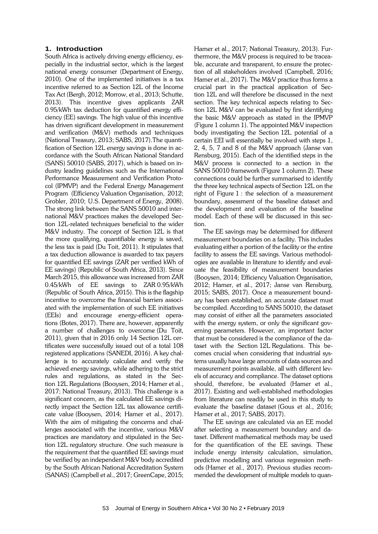## **1. Introduction**

South Africa is actively driving energy efficiency, especially in the industrial sector, which is the largest national energy consumer (Department of Energy, 2010). One of the implemented initiatives is a tax incentive referred to as Section 12L of the Income Tax Act (Bergh, 2012; Morrow, et al., 2013; Schutte, 2013). This incentive gives applicants ZAR 0.95/kWh tax deduction for quantified energy efficiency (EE) savings. The high value of this incentive has driven significant development in measurement and verification (M&V) methods and techniques (National Treasury, 2013; SABS, 2017).The quantification of Section 12L energy savings is done in accordance with the South African National Standard (SANS) 50010 (SABS, 2017), which is based on industry leading guidelines such as the International Performance Measurement and Verification Protocol (IPMVP) and the Federal Energy Management Program (Efficiency Valuation Organisation, 2012; Grobler, 2010; U.S. Department of Energy, 2008). The strong link between the SANS 50010 and international M&V practices makes the developed Section 12L-related techniques beneficial to the wider M&V industry. The concept of Section 12L is that the more qualifying, quantifiable energy is saved, the less tax is paid (Du Toit, 2011). It stipulates that a tax deduction allowance is awarded to tax payers for quantified EE savings (ZAR per verified kWh of EE savings) (Republic of South Africa, 2013). Since March 2015, this allowance was increased from ZAR 0.45/kWh of EE savings to ZAR 0.95/kWh (Republic of South Africa, 2015). This is the flagship incentive to overcome the financial barriers associated with the implementation of such EE initiatives (EEIs) and encourage energy-efficient operations (Botes, 2017). There are, however, apparently a number of challenges to overcome (Du Toit, 2011), given that in 2016 only 14 Section 12L certificates were successfully issued out of a total 108 registered applications (SANEDI, 2016). A key challenge is to accurately calculate and verify the achieved energy savings, while adhering to the strict rules and regulations, as stated in the Section 12L Regulations (Booysen, 2014; Hamer et al., 2017; National Treasury, 2013). This challenge is a significant concern, as the calculated EE savings directly impact the Section 12L tax allowance certificate value (Booysen, 2014; Hamer et al., 2017). With the aim of mitigating the concerns and challenges associated with the incentive, various M&V practices are mandatory and stipulated in the Section 12L regulatory structure. One such measure is the requirement that the quantified EE savings must be verified by an independent M&V body accredited by the South African National Accreditation System (SANAS) (Campbell et al., 2017; GreenCape, 2015;

Hamer et al., 2017; National Treasury, 2013). Furthermore, the M&V process is required to be traceable, accurate and transparent, to ensure the protection of all stakeholders involved (Campbell, 2016; Hamer et al., 2017). The M&V practice thus forms a crucial part in the practical application of Section 12L and will therefore be discussed in the next section. The key technical aspects relating to Section 12L M&V can be evaluated by first identifying the basic M&V approach as stated in the IPMVP [\(Figure 1](#page-2-0) column 1). The appointed M&V inspection body investigating the Section 12L potential of a certain EEI will essentially be involved with steps 1, 2, 4, 5, 7 and 8 of the M&V approach (Janse van Rensburg, 2015). Each of the identified steps in the M&V process is connected to a section in the SANS 50010 framework [\(Figure 1](#page-2-0) column 2). These connections could be further summarised to identify the three key technical aspects of Section 12L on the right of [Figure](#page-2-0) 1 : the selection of a measurement boundary, assessment of the baseline dataset and the development and evaluation of the baseline model. Each of these will be discussed in this section.

The EE savings may be determined for different measurement boundaries on a facility. This includes evaluating either a portion of the facility or the entire facility to assess the EE savings. Various methodologies are available in literature to identify and evaluate the feasibility of measurement boundaries (Booysen, 2014; Efficiency Valuation Organisation, 2012; Hamer, et al., 2017; Janse van Rensburg, 2015; SABS, 2017). Once a measurement boundary has been established, an accurate dataset must be compiled. According to SANS 50010, the dataset may consist of either all the parameters associated with the energy system, or only the significant governing parameters. However, an important factor that must be considered is the compliance of the dataset with the Section 12L Regulations. This becomes crucial when considering that industrial systems usually have large amounts of data sources and measurement points available, all with different levels of accuracy and compliance. The dataset options should, therefore, be evaluated (Hamer et al., 2017). Existing and well-established methodologies from literature can readily be used in this study to evaluate the baseline dataset (Gous et al., 2016; Hamer et al., 2017; SABS, 2017).

The EE savings are calculated via an EE model after selecting a measurement boundary and dataset. Different mathematical methods may be used for the quantification of the EE savings. These include energy intensity calculation, simulation, predictive modelling and various regression methods (Hamer et al., 2017). Previous studies recommended the development of multiple models to quan-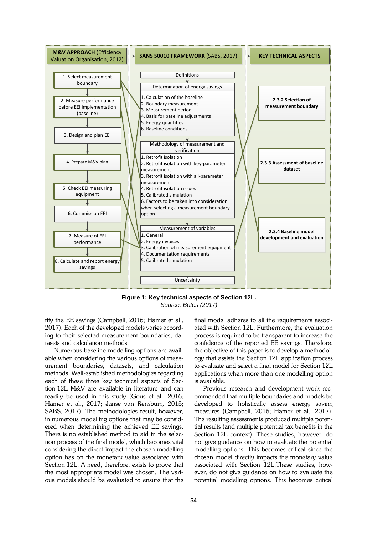

<span id="page-2-0"></span>**Figure 1: Key technical aspects of Section 12L.** *Source: Botes (2017)*

tify the EE savings (Campbell, 2016; Hamer et al., 2017). Each of the developed models varies according to their selected measurement boundaries, datasets and calculation methods.

Numerous baseline modelling options are available when considering the various options of measurement boundaries, datasets, and calculation methods. Well-established methodologies regarding each of these three key technical aspects of Section 12L M&V are available in literature and can readily be used in this study (Gous et al., 2016; Hamer et al., 2017; Janse van Rensburg, 2015; SABS, 2017). The methodologies result, however, in numerous modelling options that may be considered when determining the achieved EE savings. There is no established method to aid in the selection process of the final model, which becomes vital considering the direct impact the chosen modelling option has on the monetary value associated with Section 12L. A need, therefore, exists to prove that the most appropriate model was chosen. The various models should be evaluated to ensure that the final model adheres to all the requirements associated with Section 12L. Furthermore, the evaluation process is required to be transparent to increase the confidence of the reported EE savings. Therefore, the objective of this paper is to develop a methodology that assists the Section 12L application process to evaluate and select a final model for Section 12L applications when more than one modelling option is available.

Previous research and development work recommended that multiple boundaries and models be developed to holistically assess energy saving measures (Campbell, 2016; Hamer et al., 2017). The resulting assessments produced multiple potential results (and multiple potential tax benefits in the Section 12L context). These studies, however, do not give guidance on how to evaluate the potential modelling options. This becomes critical since the chosen model directly impacts the monetary value associated with Section 12L.These studies, however, do not give guidance on how to evaluate the potential modelling options. This becomes critical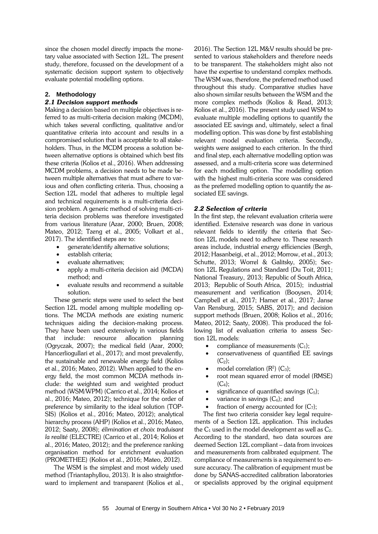since the chosen model directly impacts the monetary value associated with Section 12L. The present study, therefore, focussed on the development of a systematic decision support system to objectively evaluate potential modelling options.

# **2. Methodology**

# *2.1 Decision support methods*

Making a decision based on multiple objectives is referred to as multi-criteria decision making (MCDM), which takes several conflicting, qualitative and/or quantitative criteria into account and results in a compromised solution that is acceptable to all stakeholders. Thus, in the MCDM process a solution between alternative options is obtained which best fits these criteria (Kolios et al., 2016). When addressing MCDM problems, a decision needs to be made between multiple alternatives that must adhere to various and often conflicting criteria. Thus, choosing a Section 12L model that adheres to multiple legal and technical requirements is a multi-criteria decision problem. A generic method of solving multi-criteria decision problems was therefore investigated from various literature (Azar, 2000; Bruen, 2008; Mateo, 2012; Tzeng et al., 2005; Volkart et al., 2017). The identified steps are to:

- generate/identify alternative solutions;
- establish criteria;
- evaluate alternatives;
- apply a multi-criteria decision aid (MCDA) method; and
- evaluate results and recommend a suitable solution.

These generic steps were used to select the best Section 12L model among multiple modelling options. The MCDA methods are existing numeric techniques aiding the decision-making process. They have been used extensively in various fields that include: resource allocation planning (Ogryczak, 2007); the medical field (Azar, 2000; Hancerliogullari et al., 2017); and most prevalently, the sustainable and renewable energy field (Kolios et al., 2016; Mateo, 2012). When applied to the energy field, the most common MCDA methods include: the weighted sum and weighted product method (WSM/WPM) (Carrico et al., 2014; Kolios et al., 2016; Mateo, 2012); technique for the order of preference by similarity to the ideal solution (TOP-SIS) (Kolios et al., 2016; Mateo, 2012); analytical hierarchy process (AHP) (Kolios et al., 2016; Mateo, 2012; Saaty, 2008); *élimination et choix traduisant la realité* (ELECTRE) (Carrico et al., 2014; Kolios et al., 2016; Mateo, 2012); and the preference ranking organisation method for enrichment evaluation (PROMETHEE) (Kolios et al., 2016; Mateo, 2012).

The WSM is the simplest and most widely used method (Triantaphyllou, 2013). It is also straightforward to implement and transparent (Kolios et al., 2016). The Section 12L M&V results should be presented to various stakeholders and therefore needs to be transparent. The stakeholders might also not have the expertise to understand complex methods. The WSM was, therefore, the preferred method used throughout this study. Comparative studies have also shown similar results between the WSM and the more complex methods (Kolios & Read, 2013; Kolios et al., 2016). The present study used WSM to evaluate multiple modelling options to quantify the associated EE savings and, ultimately, select a final modelling option. This was done by first establishing relevant model evaluation criteria. Secondly, weights were assigned to each criterion. In the third and final step, each alternative modelling option was assessed, and a multi-criteria score was determined for each modelling option. The modelling option with the highest multi-criteria score was considered as the preferred modelling option to quantify the associated EE savings.

# *2.2 Selection of criteria*

In the first step, the relevant evaluation criteria were identified. Extensive research was done in various relevant fields to identify the criteria that Section 12L models need to adhere to. These research areas include, industrial energy efficiencies (Bergh, 2012; Hasanbeigi, et al., 2012; Morrow, et al., 2013; Schutte, 2013; Worrel & Galitsky, 2005); Section 12L Regulations and Standard (Du Toit, 2011; National Treasury, 2013; Republic of South Africa, 2013; Republic of South Africa, 2015); industrial measurement and verification (Booysen, 2014; Campbell et al., 2017; Hamer et al., 2017; Janse Van Rensburg, 2015; SABS, 2017); and decision support methods (Bruen, 2008; Kolios et al., 2016; Mateo, 2012; Saaty, 2008). This produced the following list of evaluation criteria to assess Section 12L models:

- compliance of measurements  $(C_1)$ ;
- conservativeness of quantified EE savings  $(C_2);$
- model correlation  $(R^2)$  (C<sub>3</sub>);
- root mean squared error of model (RMSE)  $(C_4)$ ;
- significance of quantified savings  $(C_5)$ ;
- variance in savings  $(C_6)$ ; and
- fraction of energy accounted for  $(C_7)$ ;

The first two criteria consider key legal requirements of a Section 12L application. This includes the  $C_1$  used in the model development as well as  $C_2$ . According to the standard, two data sources are deemed Section 12L compliant – data from invoices and measurements from calibrated equipment. The compliance of measurements is a requirement to ensure accuracy. The calibration of equipment must be done by SANAS-accredited calibration laboratories or specialists approved by the original equipment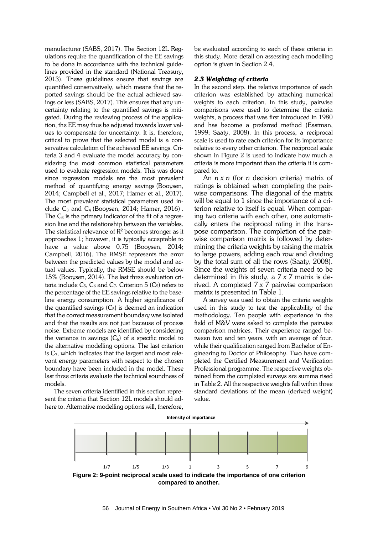manufacturer (SABS, 2017). The Section 12L Regulations require the quantification of the EE savings to be done in accordance with the technical guidelines provided in the standard (National Treasury, 2013). These guidelines ensure that savings are quantified conservatively, which means that the reported savings should be the actual achieved savings or less (SABS, 2017). This ensures that any uncertainty relating to the quantified savings is mitigated. During the reviewing process of the application, the EE may thus be adjusted towards lower values to compensate for uncertainty. It is, therefore, critical to prove that the selected model is a conservative calculation of the achieved EE savings. Criteria 3 and 4 evaluate the model accuracy by considering the most common statistical parameters used to evaluate regression models. This was done since regression models are the most prevalent method of quantifying energy savings (Booysen, 2014; Campbell et al., 2017; Hamer et al., 2017). The most prevalent statistical parameters used include  $C_3$  and  $C_4$  (Booysen, 2014; Hamer, 2016). The  $C_3$  is the primary indicator of the fit of a regression line and the relationship between the variables. The statistical relevance of  $R^2$  becomes stronger as it approaches 1; however, it is typically acceptable to have a value above 0.75 (Booysen, 2014; Campbell, 2016). The RMSE represents the error between the predicted values by the model and actual values. Typically, the RMSE should be below 15% (Booysen, 2014). The last three evaluation criteria include  $C_5$ ,  $C_6$  and  $C_7$ . Criterion 5 ( $C_5$ ) refers to the percentage of the EE savings relative to the baseline energy consumption. A higher significance of the quantified savings  $(C_5)$  is deemed an indication that the correct measurement boundary was isolated and that the results are not just because of process noise. Extreme models are identified by considering the variance in savings  $(C_6)$  of a specific model to the alternative modelling options. The last criterion is  $C_7$ , which indicates that the largest and most relevant energy parameters with respect to the chosen boundary have been included in the model. These last three criteria evaluate the technical soundness of models.

The seven criteria identified in this section represent the criteria that Section 12L models should adhere to. Alternative modelling options will, therefore,

be evaluated according to each of these criteria in this study. More detail on assessing each modelling option is given in Section 2.4.

#### *2.3 Weighting of criteria*

In the second step, the relative importance of each criterion was established by attaching numerical weights to each criterion. In this study, pairwise comparisons were used to determine the criteria weights, a process that was first introduced in 1980 and has become a preferred method (Eastman, 1999; Saaty, 2008). In this process, a reciprocal scale is used to rate each criterion for its importance relative to every other criterion. The reciprocal scale shown in Figure 2 is used to indicate how much a criteria is more important than the criteria it is compared to.

An *n x n* (for *n* decision criteria) matrix of ratings is obtained when completing the pairwise comparisons. The diagonal of the matrix will be equal to 1 since the importance of a criterion relative to itself is equal. When comparing two criteria with each other, one automatically enters the reciprocal rating in the transpose comparison. The completion of the pairwise comparison matrix is followed by determining the criteria weights by raising the matrix to large powers, adding each row and dividing by the total sum of all the rows (Saaty, 2008). Since the weights of seven criteria need to be determined in this study, a *7 x 7* matrix is derived. A completed *7 x 7* pairwise comparison matrix is presented in [Table 1.](#page-5-0)

A survey was used to obtain the criteria weights used in this study to test the applicability of the methodology. Ten people with experience in the field of M&V were asked to complete the pairwise comparison matrices. Their experience ranged between two and ten years, with an average of four, while their qualification ranged from Bachelor of Engineering to Doctor of Philosophy. Two have completed the Certified Measurement and Verification Professional programme. The respective weights obtained from the completed surveys are summa rised i[n Table 2.](#page-5-1) All the respective weights fall within three standard deviations of the mean (derived weight) value.

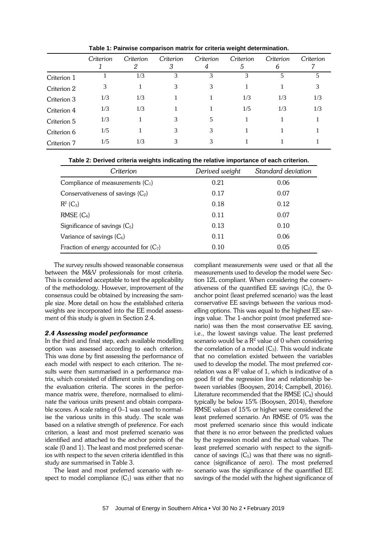<span id="page-5-0"></span>

|             | Criterion | Criterion<br>2 | Criterion<br>3 | Criterion<br>4 | Criterion<br>5 | Criterion<br>6 | Criterion |
|-------------|-----------|----------------|----------------|----------------|----------------|----------------|-----------|
| Criterion 1 |           | 1/3            | 3              |                | 3              |                |           |
| Criterion 2 | 3         |                | 3              |                |                |                |           |
| Criterion 3 | 1/3       | 1/3            |                |                | 1/3            | 1/3            | 1/3       |
| Criterion 4 | 1/3       | 1/3            |                |                | 1/5            | 1/3            | 1/3       |
| Criterion 5 | 1/3       |                | 3              |                |                |                |           |
| Criterion 6 | 1/5       |                | 3              |                |                |                |           |
| Criterion 7 | 1/5       | 1/3            | 3              |                |                |                |           |

**Table 1: Pairwise comparison matrix for criteria weight determination.**

<span id="page-5-1"></span>

| Criterion                                | Derived weight | Standard deviation |  |
|------------------------------------------|----------------|--------------------|--|
| Compliance of measurements $(C_1)$       | 0.21           | 0.06               |  |
| Conservativeness of savings $(C_2)$      | 0.17           | 0.07               |  |
| $R^2$ (C <sub>3</sub> )                  | 0.18           | 0.12               |  |
| $RMSE(C_4)$                              | 0.11           | 0.07               |  |
| Significance of savings $(C_5)$          | 0.13           | 0.10               |  |
| Variance of savings $(C_6)$              | 0.11           | 0.06               |  |
| Fraction of energy accounted for $(C_7)$ | 0.10           | 0.05               |  |

The survey results showed reasonable consensus between the M&V professionals for most criteria. This is considered acceptable to test the applicability of the methodology. However, improvement of the consensus could be obtained by increasing the sample size. More detail on how the established criteria weights are incorporated into the EE model assessment of this study is given in Section 2.4.

## *2.4 Assessing model performance*

In the third and final step, each available modelling option was assessed according to each criterion. This was done by first assessing the performance of each model with respect to each criterion. The results were then summarised in a performance matrix, which consisted of different units depending on the evaluation criteria. The scores in the performance matrix were, therefore, normalised to eliminate the various units present and obtain comparable scores. A scale rating of 0–1 was used to normalise the various units in this study. The scale was based on a relative strength of preference. For each criterion, a least and most preferred scenario was identified and attached to the anchor points of the scale (0 and 1). The least and most preferred scenarios with respect to the seven criteria identified in this study are summarised in [Table](#page-6-0) 3.

The least and most preferred scenario with respect to model compliance  $(C_1)$  was either that no compliant measurements were used or that all the measurements used to develop the model were Section 12L compliant. When considering the conservativeness of the quantified EE savings  $(C_2)$ , the 0anchor point (least preferred scenario) was the least conservative EE savings between the various modelling options. This was equal to the highest EE savings value. The 1-anchor point (most preferred scenario) was then the most conservative EE saving, i.e., the lowest savings value. The least preferred scenario would be a  $R^2$  value of 0 when considering the correlation of a model  $(C_3)$ . This would indicate that no correlation existed between the variables used to develop the model. The most preferred correlation was a  $\mathbb{R}^2$  value of 1, which is indicative of a good fit of the regression line and relationship between variables (Booysen, 2014; Campbell, 2016). Literature recommended that the RMSE  $(C_4)$  should typically be below 15% (Booysen, 2014), therefore RMSE values of 15% or higher were considered the least preferred scenario. An RMSE of 0% was the most preferred scenario since this would indicate that there is no error between the predicted values by the regression model and the actual values. The least preferred scenario with respect to the significance of savings  $(C_5)$  was that there was no significance (significance of zero). The most preferred scenario was the significance of the quantified EE savings of the model with the highest significance of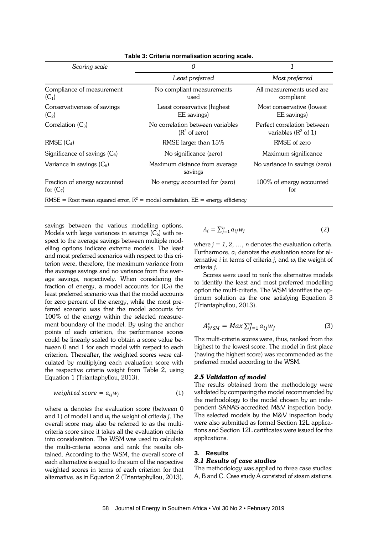<span id="page-6-0"></span>

| Scoring scale                               | 0                                                                                 |                                                        |  |  |
|---------------------------------------------|-----------------------------------------------------------------------------------|--------------------------------------------------------|--|--|
|                                             | Least preferred                                                                   | Most preferred                                         |  |  |
| Compliance of measurement<br>$(C_1)$        | No compliant measurements<br>used                                                 | All measurements used are<br>compliant                 |  |  |
| Conservativeness of savings<br>$(C_2)$      | Least conservative (highest)<br>EE savings)                                       | Most conservative (lowest<br>EE savings)               |  |  |
| Correlation $(C_3)$                         | No correlation between variables<br>$(R2$ of zero)                                | Perfect correlation between<br>variables ( $R^2$ of 1) |  |  |
| $RMSE(C_4)$                                 | RMSE larger than 15%                                                              | RMSE of zero                                           |  |  |
| Significance of savings $(C_5)$             | No significance (zero)                                                            | Maximum significance                                   |  |  |
| Variance in savings $(C_6)$                 | Maximum distance from average<br>savings                                          | No variance in savings (zero)                          |  |  |
| Fraction of energy accounted<br>for $(C_7)$ | No energy accounted for (zero)                                                    | 100% of energy accounted<br>for                        |  |  |
|                                             | RMSE = Root mean squared error, $R^2$ = model correlation, EE = energy efficiency |                                                        |  |  |

**Table 3: Criteria normalisation scoring scale.**

savings between the various modelling options. Models with large variances in savings  $(C_6)$  with respect to the average savings between multiple modelling options indicate extreme models. The least and most preferred scenarios with respect to this criterion were, therefore, the maximum variance from the average savings and no variance from the average savings, respectively. When considering the fraction of energy, a model accounts for  $(C_7)$  the least preferred scenario was that the model accounts for zero percent of the energy, while the most preferred scenario was that the model accounts for 100% of the energy within the selected measurement boundary of the model. By using the anchor points of each criterion, the performance scores could be linearly scaled to obtain a score value between 0 and 1 for each model with respect to each criterion. Thereafter, the weighted scores were calculated by multiplying each evaluation score with the respective criteria weight from [Table 2,](#page-5-1) using Equation 1 (Triantaphyllou, 2013).

$$
weighted score = a_{ij}w_j \tag{1}
$$

where *ai* denotes the evaluation score (between 0 and 1) of model *i* and *wj* the weight of criteria *j*. The overall score may also be referred to as the multicriteria score since it takes all the evaluation criteria into consideration. The WSM was used to calculate the multi-criteria scores and rank the results obtained. According to the WSM, the overall score of each alternative is equal to the sum of the respective weighted scores in terms of each criterion for that alternative, as in Equation 2 (Triantaphyllou, 2013).

$$
A_i = \sum_{j=1}^n a_{ij} w_j \tag{2}
$$

where  $j = 1, 2, \ldots, n$  denotes the evaluation criteria. Furthermore,  $a_{ij}$  denotes the evaluation score for alternative *i* in terms of criteria *j*, and  $w_i$  the weight of criteria *j*.

Scores were used to rank the alternative models to identify the least and most preferred modelling option the multi-criteria. The WSM identifies the optimum solution as the one satisfying Equation 3 (Triantaphyllou, 2013).

$$
A_{WSM}^* = Max \sum_{j=1}^n a_{ij} w_j \tag{3}
$$

The multi-criteria scores were, thus, ranked from the highest to the lowest score. The model in first place (having the highest score) was recommended as the preferred model according to the WSM.

#### *2.5 Validation of model*

The results obtained from the methodology were validated by comparing the model recommended by the methodology to the model chosen by an independent SANAS-accredited M&V inspection body. The selected models by the M&V inspection body were also submitted as formal Section 12L applications and Section 12L certificates were issued for the applications.

#### **3. Results**

#### *3.1 Results of case studies*

The methodology was applied to three case studies: A, B and C. Case study A consisted of steam stations.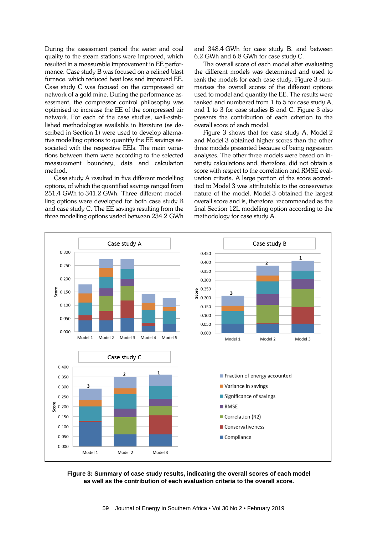During the assessment period the water and coal quality to the steam stations were improved, which resulted in a measurable improvement in EE performance. Case study B was focused on a relined blast furnace, which reduced heat loss and improved EE. Case study C was focused on the compressed air network of a gold mine. During the performance assessment, the compressor control philosophy was optimised to increase the EE of the compressed air network. For each of the case studies, well-established methodologies available in literature (as described in Section 1) were used to develop alternative modelling options to quantify the EE savings associated with the respective EEIs. The main variations between them were according to the selected measurement boundary, data and calculation method.

Case study A resulted in five different modelling options, of which the quantified savings ranged from 251.4 GWh to 341.2 GWh. Three different modelling options were developed for both case study B and case study C. The EE savings resulting from the three modelling options varied between 234.2 GWh and 348.4 GWh for case study B, and between 6.2 GWh and 6.8 GWh for case study C.

The overall score of each model after evaluating the different models was determined and used to rank the models for each case study. [Figure 3](#page-7-0) summarises the overall scores of the different options used to model and quantify the EE. The results were ranked and numbered from 1 to 5 for case study A, and 1 to 3 for case studies B and C. [Figure 3](#page-7-0) also presents the contribution of each criterion to the overall score of each model.

[Figure 3](#page-7-0) shows that for case study A, Model 2 and Model 3 obtained higher scores than the other three models presented because of being regression analyses. The other three models were based on intensity calculations and, therefore, did not obtain a score with respect to the correlation and RMSE evaluation criteria. A large portion of the score accredited to Model 3 was attributable to the conservative nature of the model. Model 3 obtained the largest overall score and is, therefore, recommended as the final Section 12L modelling option according to the methodology for case study A.



<span id="page-7-0"></span>**Figure 3: Summary of case study results, indicating the overall scores of each model as well as the contribution of each evaluation criteria to the overall score.**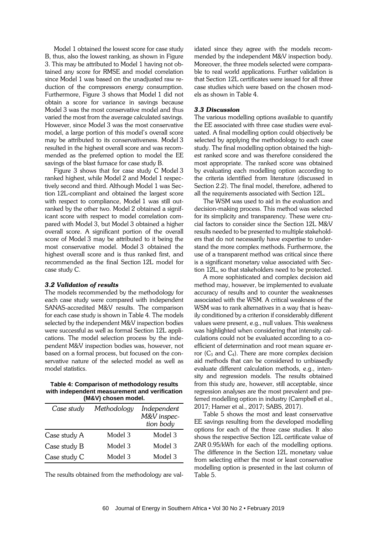Model 1 obtained the lowest score for case study B, thus, also the lowest ranking, as shown in [Figure](#page-7-0)  [3.](#page-7-0) This may be attributed to Model 1 having not obtained any score for RMSE and model correlation since Model 1 was based on the unadjusted raw reduction of the compressors energy consumption. Furthermore, [Figure 3](#page-7-0) shows that Model 1 did not obtain a score for variance in savings because Model 3 was the most conservative model and thus varied the most from the average calculated savings. However, since Model 3 was the most conservative model, a large portion of this model's overall score may be attributed to its conservativeness. Model 3 resulted in the highest overall score and was recommended as the preferred option to model the EE savings of the blast furnace for case study B.

[Figure 3](#page-7-0) shows that for case study C Model 3 ranked highest, while Model 2 and Model 1 respectively second and third. Although Model 1 was Section 12L-compliant and obtained the largest score with respect to compliance, Model 1 was still outranked by the other two. Model 2 obtained a significant score with respect to model correlation compared with Model 3, but Model 3 obtained a higher overall score. A significant portion of the overall score of Model 3 may be attributed to it being the most conservative model. Model 3 obtained the highest overall score and is thus ranked first, and recommended as the final Section 12L model for case study C.

#### *3.2 Validation of results*

The models recommended by the methodology for each case study were compared with independent SANAS-accredited M&V results. The comparison for each case study is shown in [Table 4.](#page-8-0) The models selected by the independent M&V inspection bodies were successful as well as formal Section 12L applications. The model selection process by the independent M&V inspection bodies was, however, not based on a formal process, but focused on the conservative nature of the selected model as well as model statistics.

#### <span id="page-8-0"></span>**Table 4: Comparison of methodology results with independent measurement and verification (M&V) chosen model.**

| Case study   | Methodology | Independent<br>M&V inspec-<br>tion body |
|--------------|-------------|-----------------------------------------|
| Case study A | Model 3     | Model 3                                 |
| Case study B | Model 3     | Model 3                                 |
| Case study C | Model 3     | Model 3                                 |

The results obtained from the methodology are val-

idated since they agree with the models recommended by the independent M&V inspection body. Moreover, the three models selected were comparable to real world applications. Further validation is that Section 12L certificates were issued for all three case studies which were based on the chosen models as shown in [Table 4.](#page-8-0)

### *3.3 Discussion*

The various modelling options available to quantify the EE associated with three case studies were evaluated. A final modelling option could objectively be selected by applying the methodology to each case study. The final modelling option obtained the highest ranked score and was therefore considered the most appropriate. The ranked score was obtained by evaluating each modelling option according to the criteria identified from literature (discussed in Section 2.2). The final model, therefore, adhered to all the requirements associated with Section 12L.

The WSM was used to aid in the evaluation and decision-making process. This method was selected for its simplicity and transparency. These were crucial factors to consider since the Section 12L M&V results needed to be presented to multiple stakeholders that do not necessarily have expertise to understand the more complex methods. Furthermore, the use of a transparent method was critical since there is a significant monetary value associated with Section 12L, so that stakeholders need to be protected.

A more sophisticated and complex decision aid method may, however, be implemented to evaluate accuracy of results and to counter the weaknesses associated with the WSM. A critical weakness of the WSM was to rank alternatives in a way that is heavily conditioned by a criterion if considerably different values were present, e.g., null values. This weakness was highlighted when considering that intensity calculations could not be evaluated according to a coefficient of determination and root mean square error  $(C_3$  and  $C_4$ ). There are more complex decision aid methods that can be considered to unbiasedly evaluate different calculation methods, e.g., intensity and regression models. The results obtained from this study are, however, still acceptable, since regression analyses are the most prevalent and preferred modelling option in industry (Campbell et al., 2017; Hamer et al., 2017; SABS, 2017).

[Table 5](#page-9-0) shows the most and least conservative EE savings resulting from the developed modelling options for each of the three case studies. It also shows the respective Section 12L certificate value of ZAR 0.95/kWh for each of the modelling options. The difference in the Section 12L monetary value from selecting either the most or least conservative modelling option is presented in the last column of [Table 5.](#page-9-0)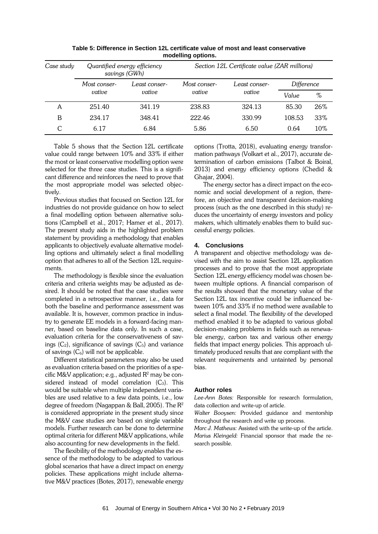<span id="page-9-0"></span>

| Case study | Quantified energy efficiency<br>savings (GWh) |                         | Section 12L Certificate value (ZAR millions) |               |            |     |
|------------|-----------------------------------------------|-------------------------|----------------------------------------------|---------------|------------|-----|
|            | Most conser-                                  | Least conser-<br>vative | Most conser-<br>vative                       | Least conser- | Difference |     |
|            | vative                                        |                         |                                              | vative        | Value      | %   |
| A          | 251.40                                        | 341.19                  | 238.83                                       | 324.13        | 85.30      | 26% |
| B          | 234.17                                        | 348.41                  | 222.46                                       | 330.99        | 108.53     | 33% |
|            | 6.17                                          | 6.84                    | 5.86                                         | 6.50          | 0.64       | 10% |

**Table 5: Difference in Section 12L certificate value of most and least conservative modelling options.**

[Table 5](#page-9-0) shows that the Section 12L certificate value could range between 10% and 33% if either the most or least conservative modelling option were selected for the three case studies. This is a significant difference and reinforces the need to prove that the most appropriate model was selected objectively.

Previous studies that focused on Section 12L for industries do not provide guidance on how to select a final modelling option between alternative solutions (Campbell et al., 2017; Hamer et al., 2017). The present study aids in the highlighted problem statement by providing a methodology that enables applicants to objectively evaluate alternative modelling options and ultimately select a final modelling option that adheres to all of the Section 12L requirements.

The methodology is flexible since the evaluation criteria and criteria weights may be adjusted as desired. It should be noted that the case studies were completed in a retrospective manner, i.e., data for both the baseline and performance assessment was available. It is, however, common practice in industry to generate EE models in a forward-facing manner, based on baseline data only. In such a case, evaluation criteria for the conservativeness of savings  $(C_2)$ , significance of savings  $(C_5)$  and variance of savings  $(C_6)$  will not be applicable.

Different statistical parameters may also be used as evaluation criteria based on the priorities of a specific M&V application; e.g., adjusted  $R^2$  may be considered instead of model correlation  $(C_3)$ . This would be suitable when multiple independent variables are used relative to a few data points, i.e., low degree of freedom (Nagappan & Ball, 2005). The  $R^2$ is considered appropriate in the present study since the M&V case studies are based on single variable models. Further research can be done to determine optimal criteria for different M&V applications, while also accounting for new developments in the field.

The flexibility of the methodology enables the essence of the methodology to be adapted to various global scenarios that have a direct impact on energy policies. These applications might include alternative M&V practices (Botes, 2017), renewable energy options (Trotta, 2018), evaluating energy transformation pathways (Volkart et al., 2017), accurate determination of carbon emissions (Talbot & Boiral, 2013) and energy efficiency options (Chedid & Ghajar, 2004).

The energy sector has a direct impact on the economic and social development of a region, therefore, an objective and transparent decision-making process (such as the one described in this study) reduces the uncertainty of energy investors and policy makers, which ultimately enables them to build successful energy policies.

#### **4. Conclusions**

A transparent and objective methodology was devised with the aim to assist Section 12L application processes and to prove that the most appropriate Section 12L energy efficiency model was chosen between multiple options. A financial comparison of the results showed that the monetary value of the Section 12L tax incentive could be influenced between 10% and 33% if no method were available to select a final model. The flexibility of the developed method enabled it to be adapted to various global decision-making problems in fields such as renewable energy, carbon tax and various other energy fields that impact energy policies. This approach ultimately produced results that are compliant with the relevant requirements and untainted by personal bias.

#### **Author roles**

*Lee-Ann Botes:* Responsible for research formulation, data collection and write-up of article.

*Walter Booysen:* Provided guidance and mentorship throughout the research and write up process.

*Marc J. Mathews:* Assisted with the write-up of the article. *Marius Kleingeld:* Financial sponsor that made the research possible.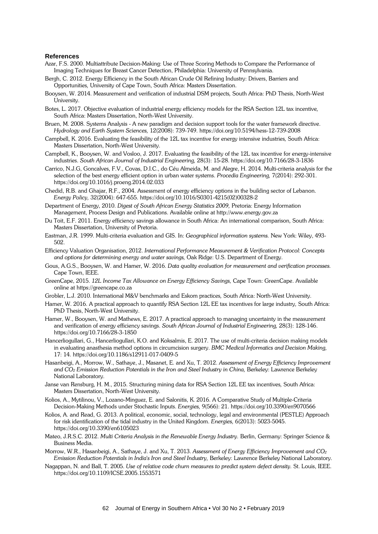#### **References**

- Azar, F.S. 2000. Multiattribute Decision-Making: Use of Three Scoring Methods to Compare the Performance of Imaging Techniques for Breast Cancer Detection, Philadelphia: University of Pennsylvania.
- Bergh, C. 2012. Energy Efficiency in the South African Crude Oil Refining Industry: Drivers, Barriers and Opportunities*,* University of Cape Town, South Africa: Masters Dissertation.
- Booysen, W. 2014. Measurement and verification of industrial DSM projects*,* South Africa: PhD Thesis, North-West University.
- Botes, L. 2017. Objective evaluation of industrial energy efficiency models for the RSA Section 12L tax incentive*,*  South Africa: Masters Dissertation, North-West University.
- Bruen, M. 2008. Systems Analysis A new paradigm and decision support tools for the water framework directive. *Hydrology and Earth System Sciences,* 12(2008): 739-749. https://doi.org/10.5194/hess-12-739-2008
- Campbell, K. 2016. Evaluating the feasibility of the 12L tax incentive for energy intensive industries*,* South Africa: Masters Dissertation, North-West University.
- Campbell, K., Booysen, W. and Vosloo, J. 2017. Evaluating the feasibility of the 12L tax incentive for energy-intensive industries. *South African Journal of Industrial Engineering,* 28(3): 15-28. https://doi.org/10.7166/28-3-1836
- Carrico, N.J.G, Goncalves, F.V., Covas, D.I.C., do Céu Almeida, M. and Alegre, H. 2014. Multi-criteria analysis for the selection of the best energy efficient option in urban water systems. *Procedia Engineering,* 7(2014): 292-301. https://doi.org/10.1016/j.proeng.2014.02.033
- Chedid, R.B. and Ghajar, R.F., 2004. Assessment of energy efficiency options in the building sector of Lebanon. *Energy Policy,* 32(2004): 647-655. https://doi.org/10.1016/S0301-4215(02)00328-2
- Department of Energy, 2010. *Digest of South African Energy Statistics 2009,* Pretoria: Energy Information Management, Process Design and Publications. Available online at http://www.energy.gov.za
- Du Toit, E.F. 2011. Energy efficiency savings allowance in South Africa: An international comparison*,* South Africa: Masters Dissertation, University of Pretoria.
- Eastman, J.R. 1999. Multi-criteria evaluation and GIS. In: *Geographical information systems.* New York: Wiley, 493- 502.
- Efficiency Valuation Organisation, 2012. *International Performance Measurement & Verification Protocol: Concepts and options for determining energy and water savings,* Oak Ridge: U.S. Department of Energy.
- Gous, A.G.S., Booysen, W. and Hamer, W. 2016. *Data quality evaluation for measurement and verification processes.*  Cape Town, IEEE.
- GreenCape, 2015. *12L Income Tax Allowance on Energy Efficiency Savings,* Cape Town: GreenCape. Available online at https://greencape.co.za
- Grobler, L.J. 2010. International M&V benchmarks and Eskom practices*,* South Africa: North-West University.
- Hamer, W. 2016. A practical approach to quantify RSA Section 12L EE tax incentives for large industry*,* South Africa: PhD Thesis, North-West University.
- Hamer, W., Booysen, W. and Mathews, E. 2017. A practical approach to managing uncertainty in the measurement and verification of energy efficiency savings. *South African Journal of Industrial Engineering,* 28(3): 128-146. https://doi.org/10.7166/28-3-1850
- Hancerliogullari, G., Hancerliogullari, K.O. and Koksalmis, E. 2017. The use of multi-criteria decision making models in evaluating anasthesia method options in circumcision surgery. *BMC Medical Informatics and Decision Making,*  17: 14. https://doi.org/10.1186/s12911-017-0409-5
- Hasanbeigi, A., Morrow, W., Sathaye, J., Masanet, E. and Xu, T. 2012. *Assessment of Energy Efficiency Improvement*  and CO<sub>2</sub> *Emission Reduction Potentials in the Iron and Steel Industry in China, Berkeley: Lawrence Berkeley* National Laboratory.
- Janse van Rensburg, H. M., 2015. Structuring mining data for RSA Section 12L EE tax incentives*,* South Africa: Masters Dissertation, North-West University.
- Kolios, A., Mytilinou, V., Lozano-Minguez, E. and Salonitis, K. 2016. A Comparative Study of Multiple-Criteria Decision-Making Methods under Stochastic Inputs. *Energies,* 9(566): 21. https://doi.org/10.3390/en9070566
- Kolios, A. and Read, G. 2013. A political, economic, social, technology, legal and environmental (PESTLE) Approach for risk identification of the tidal industry in the United Kingdom. *Energies,* 6(2013): 5023-5045. https://doi.org/10.3390/en6105023
- Mateo, J.R.S.C. 2012. *Multi Criteria Analysis in the Renewable Energy Industry. Berlin, Germany: Springer Science &* Business Media.
- Morrow, W.R., Hasanbeigi, A., Sathaye, J. and Xu, T. 2013. *Assessment of Energy Efficiency Improvement and CO2 Emission Reduction Potentials in India's Iron and Steel Industry,* Berkeley: Lawrence Berkeley National Laboratory.
- Nagappan, N. and Ball, T. 2005. *Use of relative code churn measures to predict system defect density.* St. Louis, IEEE. https://doi.org/10.1109/ICSE.2005.1553571